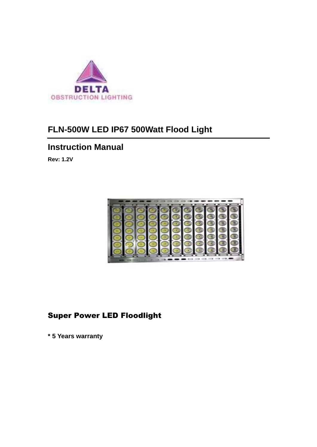

# **FLN-500W LED IP67 500Watt Flood Light**

## **Instruction Manual**

**Rev: 1.2V** 



## Super Power LED Floodlight

**\* 5 Years warranty**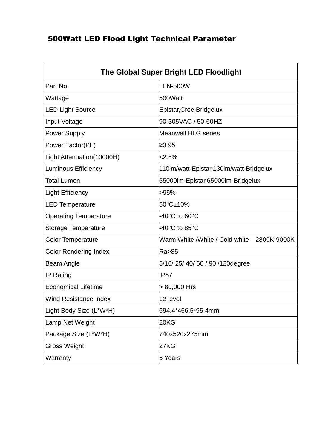## 500Watt LED Flood Light Technical Parameter

| The Global Super Bright LED Floodlight |                                               |
|----------------------------------------|-----------------------------------------------|
| Part No.                               | <b>FLN-500W</b>                               |
| Wattage                                | 500Watt                                       |
| <b>LED Light Source</b>                | Epistar, Cree, Bridgelux                      |
| Input Voltage                          | 90-305VAC / 50-60HZ                           |
| <b>Power Supply</b>                    | Meanwell HLG series                           |
| Power Factor(PF)                       | ≥0.95                                         |
| Light Attenuation (10000H)             | 2.8%                                          |
| Luminous Efficiency                    | 110Im/watt-Epistar, 130Im/watt-Bridgelux      |
| <b>Total Lumen</b>                     | 55000lm-Epistar,65000lm-Bridgelux             |
| <b>Light Efficiency</b>                | >95%                                          |
| <b>LED Temperature</b>                 | 50°C±10%                                      |
| <b>Operating Temperature</b>           | $-40^{\circ}$ C to 60 $^{\circ}$ C            |
| Storage Temperature                    | $-40^{\circ}$ C to 85 $^{\circ}$ C            |
| Color Temperature                      | Warm White /White / Cold white<br>2800K-9000K |
| Color Rendering Index                  | Ra>85                                         |
| Beam Angle                             | 5/10/25/40/60/90/120degree                    |
| <b>IP Rating</b>                       | IP <sub>67</sub>                              |
| <b>Economical Lifetime</b>             | > 80,000 Hrs                                  |
| <b>Wind Resistance Index</b>           | 12 level                                      |
| Light Body Size (L*W*H)                | 694.4*466.5*95.4mm                            |
| Lamp Net Weight                        | 20KG                                          |
| Package Size (L*W*H)                   | 740x520x275mm                                 |
| Gross Weight                           | <b>27KG</b>                                   |
| Warranty                               | 5 Years                                       |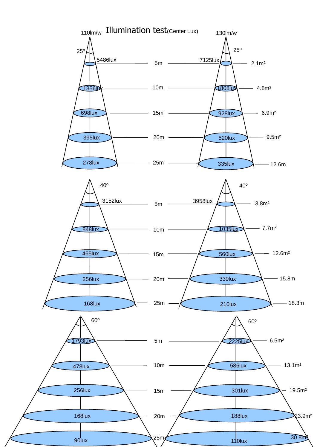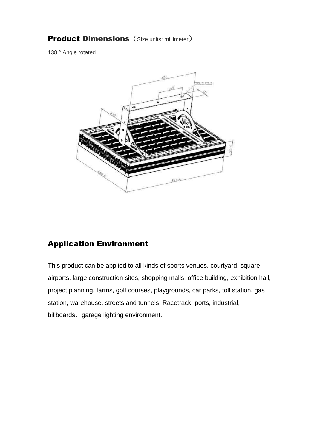### **Product Dimensions** (Size units: millimeter)

138 ° Angle rotated



## Application Environment

This product can be applied to all kinds of sports venues, courtyard, square, airports, large construction sites, shopping malls, office building, exhibition hall, project planning, farms, golf courses, playgrounds, car parks, toll station, gas station, warehouse, streets and tunnels, Racetrack, ports, industrial, billboards, garage lighting environment.